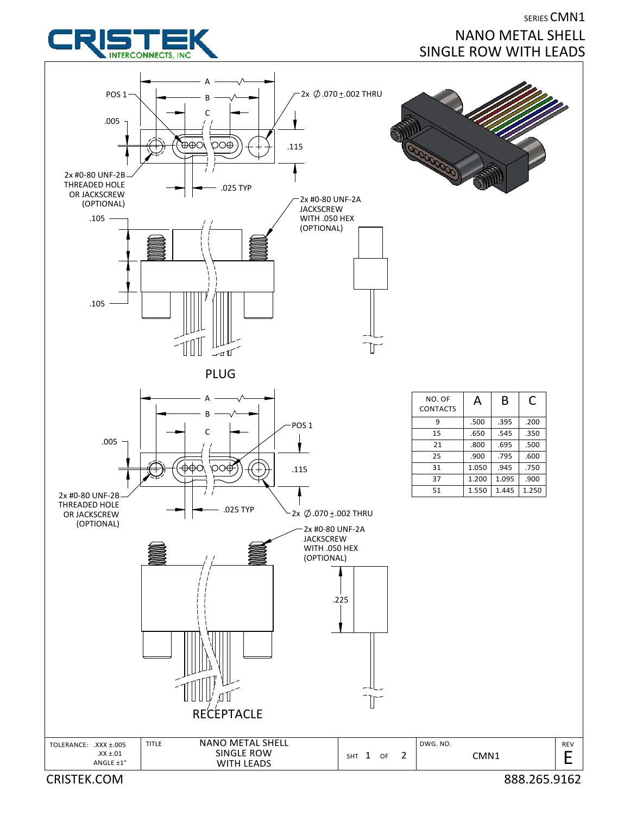

## SERIES CMN1 NANO METAL SHELL SINGLE ROW WITH LEADS